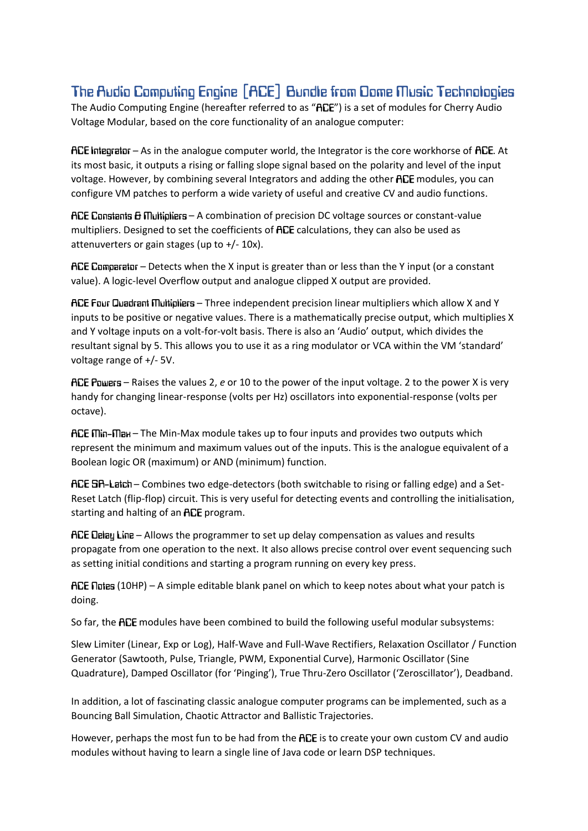# The Audio Computing Engine [ACE] Bundle from Dome Music Technologies

The Audio Computing Engine (hereafter referred to as "RCE") is a set of modules for Cherry Audio Voltage Modular, based on the core functionality of an analogue computer:

 $HCE$  integrator – As in the analogue computer world, the Integrator is the core workhorse of  $HCE$ . At its most basic, it outputs a rising or falling slope signal based on the polarity and level of the input voltage. However, by combining several Integrators and adding the other ACE modules, you can configure VM patches to perform a wide variety of useful and creative CV and audio functions.

 $A \nE$  Constants  $\Theta$  Multipliers – A combination of precision DC voltage sources or constant-value multipliers. Designed to set the coefficients of ACE calculations, they can also be used as attenuverters or gain stages (up to +/- 10x).

ACE Comparator – Detects when the X input is greater than or less than the Y input (or a constant value). A logic-level Overflow output and analogue clipped X output are provided.

ACE Four Quadrant Multipliers - Three independent precision linear multipliers which allow X and Y inputs to be positive or negative values. There is a mathematically precise output, which multiplies X and Y voltage inputs on a volt-for-volt basis. There is also an 'Audio' output, which divides the resultant signal by 5. This allows you to use it as a ring modulator or VCA within the VM 'standard' voltage range of +/- 5V.

– Raises the values 2, *e* or 10 to the power of the input voltage. 2 to the power X is very handy for changing linear-response (volts per Hz) oscillators into exponential-response (volts per octave).

 $HCE$   $Min$ - $Plan$  – The Min-Max module takes up to four inputs and provides two outputs which represent the minimum and maximum values out of the inputs. This is the analogue equivalent of a Boolean logic OR (maximum) or AND (minimum) function.

ACE 5R-Latch – Combines two edge-detectors (both switchable to rising or falling edge) and a Set-Reset Latch (flip-flop) circuit. This is very useful for detecting events and controlling the initialisation, starting and halting of an ACE program.

**ACE Delay Line** – Allows the programmer to set up delay compensation as values and results propagate from one operation to the next. It also allows precise control over event sequencing such as setting initial conditions and starting a program running on every key press.

 $ACE$  notes (10HP) – A simple editable blank panel on which to keep notes about what your patch is doing.

So far, the ACE modules have been combined to build the following useful modular subsystems:

Slew Limiter (Linear, Exp or Log), Half-Wave and Full-Wave Rectifiers, Relaxation Oscillator / Function Generator (Sawtooth, Pulse, Triangle, PWM, Exponential Curve), Harmonic Oscillator (Sine Quadrature), Damped Oscillator (for 'Pinging'), True Thru-Zero Oscillator ('Zeroscillator'), Deadband.

In addition, a lot of fascinating classic analogue computer programs can be implemented, such as a Bouncing Ball Simulation, Chaotic Attractor and Ballistic Trajectories.

However, perhaps the most fun to be had from the ACE is to create your own custom CV and audio modules without having to learn a single line of Java code or learn DSP techniques.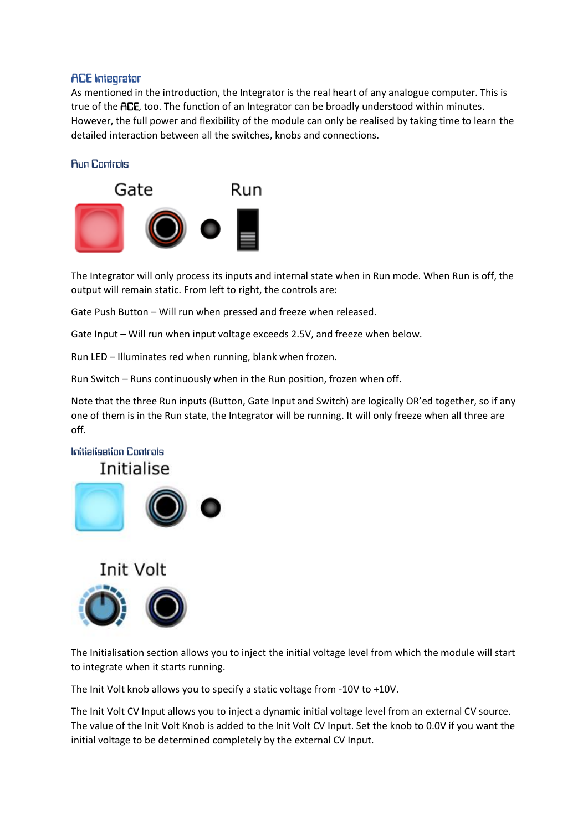#### **ACE Integrator**

As mentioned in the introduction, the Integrator is the real heart of any analogue computer. This is true of the ACE, too. The function of an Integrator can be broadly understood within minutes. However, the full power and flexibility of the module can only be realised by taking time to learn the detailed interaction between all the switches, knobs and connections.

## **Bun Controls**



The Integrator will only process its inputs and internal state when in Run mode. When Run is off, the output will remain static. From left to right, the controls are:

Gate Push Button – Will run when pressed and freeze when released.

Gate Input – Will run when input voltage exceeds 2.5V, and freeze when below.

Run LED – Illuminates red when running, blank when frozen.

Run Switch – Runs continuously when in the Run position, frozen when off.

Note that the three Run inputs (Button, Gate Input and Switch) are logically OR'ed together, so if any one of them is in the Run state, the Integrator will be running. It will only freeze when all three are off.

## Initialisation Controls Initialise





The Initialisation section allows you to inject the initial voltage level from which the module will start to integrate when it starts running.

The Init Volt knob allows you to specify a static voltage from -10V to +10V.

The Init Volt CV Input allows you to inject a dynamic initial voltage level from an external CV source. The value of the Init Volt Knob is added to the Init Volt CV Input. Set the knob to 0.0V if you want the initial voltage to be determined completely by the external CV Input.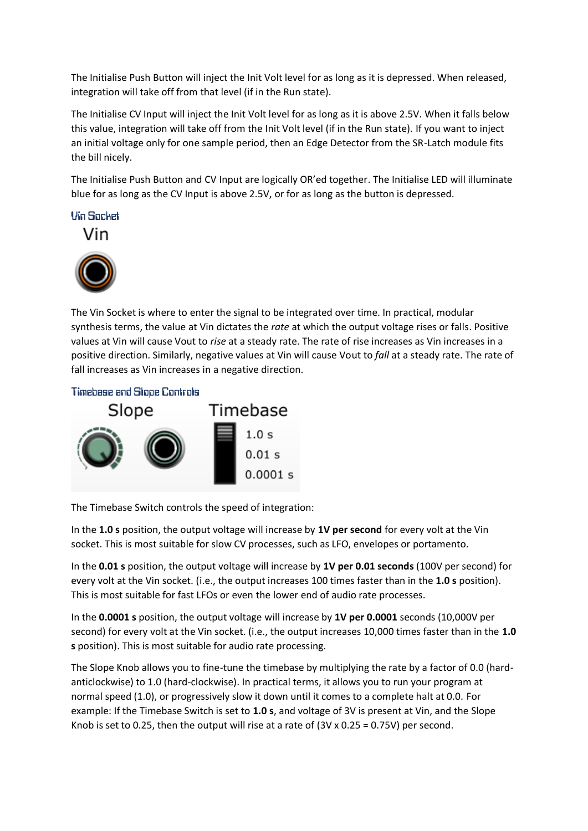The Initialise Push Button will inject the Init Volt level for as long as it is depressed. When released, integration will take off from that level (if in the Run state).

The Initialise CV Input will inject the Init Volt level for as long as it is above 2.5V. When it falls below this value, integration will take off from the Init Volt level (if in the Run state). If you want to inject an initial voltage only for one sample period, then an Edge Detector from the SR-Latch module fits the bill nicely.

The Initialise Push Button and CV Input are logically OR'ed together. The Initialise LED will illuminate blue for as long as the CV Input is above 2.5V, or for as long as the button is depressed.

**Vin Socket** 





The Vin Socket is where to enter the signal to be integrated over time. In practical, modular synthesis terms, the value at Vin dictates the *rate* at which the output voltage rises or falls. Positive values at Vin will cause Vout to *rise* at a steady rate. The rate of rise increases as Vin increases in a positive direction. Similarly, negative values at Vin will cause Vout to *fall* at a steady rate. The rate of fall increases as Vin increases in a negative direction.

#### **Timebase and Stope Controls**



The Timebase Switch controls the speed of integration:

In the **1.0 s** position, the output voltage will increase by **1V per second** for every volt at the Vin socket. This is most suitable for slow CV processes, such as LFO, envelopes or portamento.

In the **0.01 s** position, the output voltage will increase by **1V per 0.01 seconds** (100V per second) for every volt at the Vin socket. (i.e., the output increases 100 times faster than in the **1.0 s** position). This is most suitable for fast LFOs or even the lower end of audio rate processes.

In the **0.0001 s** position, the output voltage will increase by **1V per 0.0001** seconds (10,000V per second) for every volt at the Vin socket. (i.e., the output increases 10,000 times faster than in the **1.0 s** position). This is most suitable for audio rate processing.

The Slope Knob allows you to fine-tune the timebase by multiplying the rate by a factor of 0.0 (hardanticlockwise) to 1.0 (hard-clockwise). In practical terms, it allows you to run your program at normal speed (1.0), or progressively slow it down until it comes to a complete halt at 0.0. For example: If the Timebase Switch is set to **1.0 s**, and voltage of 3V is present at Vin, and the Slope Knob is set to 0.25, then the output will rise at a rate of  $(3V \times 0.25 = 0.75V)$  per second.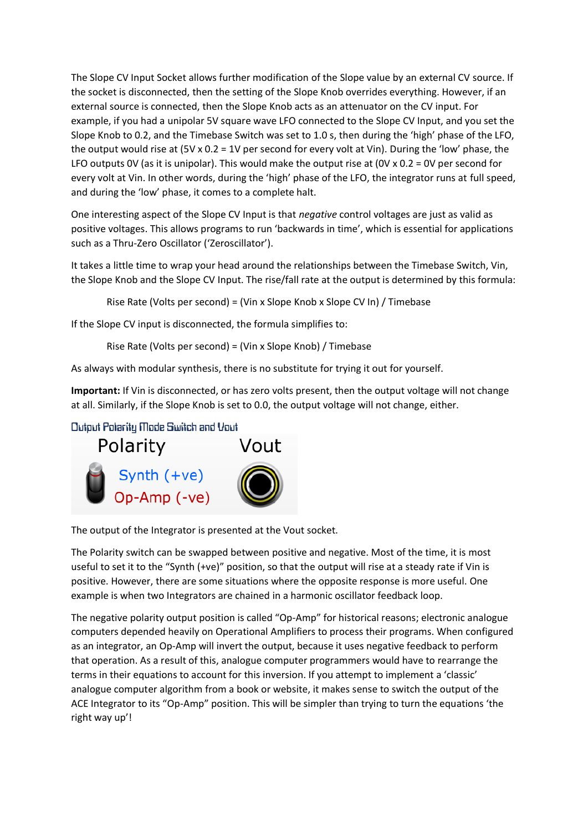The Slope CV Input Socket allows further modification of the Slope value by an external CV source. If the socket is disconnected, then the setting of the Slope Knob overrides everything. However, if an external source is connected, then the Slope Knob acts as an attenuator on the CV input. For example, if you had a unipolar 5V square wave LFO connected to the Slope CV Input, and you set the Slope Knob to 0.2, and the Timebase Switch was set to 1.0 s, then during the 'high' phase of the LFO, the output would rise at (5V x 0.2 = 1V per second for every volt at Vin). During the 'low' phase, the LFO outputs OV (as it is unipolar). This would make the output rise at  $(OV \times 0.2 = OV$  per second for every volt at Vin. In other words, during the 'high' phase of the LFO, the integrator runs at full speed, and during the 'low' phase, it comes to a complete halt.

One interesting aspect of the Slope CV Input is that *negative* control voltages are just as valid as positive voltages. This allows programs to run 'backwards in time', which is essential for applications such as a Thru-Zero Oscillator ('Zeroscillator').

It takes a little time to wrap your head around the relationships between the Timebase Switch, Vin, the Slope Knob and the Slope CV Input. The rise/fall rate at the output is determined by this formula:

Rise Rate (Volts per second) = (Vin x Slope Knob x Slope CV In) / Timebase

If the Slope CV input is disconnected, the formula simplifies to:

Rise Rate (Volts per second) = (Vin x Slope Knob) / Timebase

As always with modular synthesis, there is no substitute for trying it out for yourself.

**Important:** If Vin is disconnected, or has zero volts present, then the output voltage will not change at all. Similarly, if the Slope Knob is set to 0.0, the output voltage will not change, either.

Output Polarity Mode Switch and Vout



The output of the Integrator is presented at the Vout socket.

The Polarity switch can be swapped between positive and negative. Most of the time, it is most useful to set it to the "Synth (+ve)" position, so that the output will rise at a steady rate if Vin is positive. However, there are some situations where the opposite response is more useful. One example is when two Integrators are chained in a harmonic oscillator feedback loop.

The negative polarity output position is called "Op-Amp" for historical reasons; electronic analogue computers depended heavily on Operational Amplifiers to process their programs. When configured as an integrator, an Op-Amp will invert the output, because it uses negative feedback to perform that operation. As a result of this, analogue computer programmers would have to rearrange the terms in their equations to account for this inversion. If you attempt to implement a 'classic' analogue computer algorithm from a book or website, it makes sense to switch the output of the ACE Integrator to its "Op-Amp" position. This will be simpler than trying to turn the equations 'the right way up'!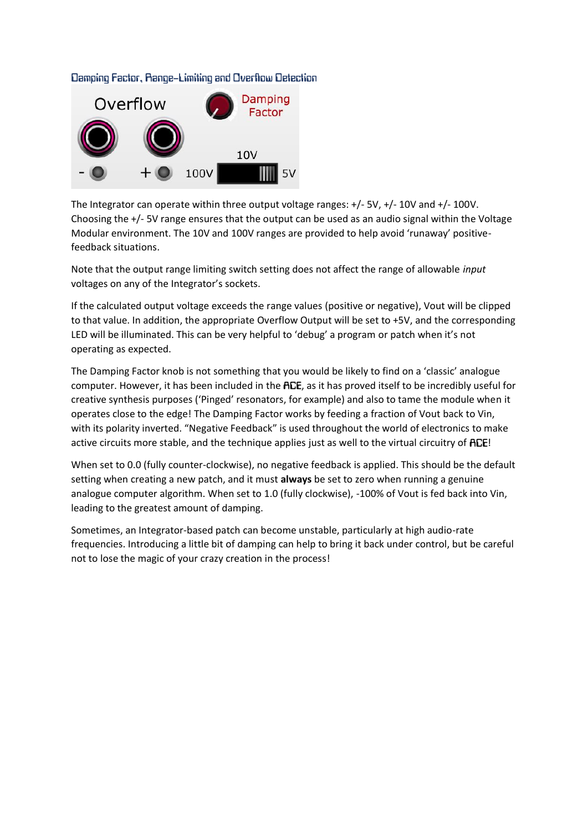#### Damping Factor, Range-Limiting and Overflow Detection



The Integrator can operate within three output voltage ranges: +/- 5V, +/- 10V and +/- 100V. Choosing the +/- 5V range ensures that the output can be used as an audio signal within the Voltage Modular environment. The 10V and 100V ranges are provided to help avoid 'runaway' positivefeedback situations.

Note that the output range limiting switch setting does not affect the range of allowable *input* voltages on any of the Integrator's sockets.

If the calculated output voltage exceeds the range values (positive or negative), Vout will be clipped to that value. In addition, the appropriate Overflow Output will be set to +5V, and the corresponding LED will be illuminated. This can be very helpful to 'debug' a program or patch when it's not operating as expected.

The Damping Factor knob is not something that you would be likely to find on a 'classic' analogue computer. However, it has been included in the ACE, as it has proved itself to be incredibly useful for creative synthesis purposes ('Pinged' resonators, for example) and also to tame the module when it operates close to the edge! The Damping Factor works by feeding a fraction of Vout back to Vin, with its polarity inverted. "Negative Feedback" is used throughout the world of electronics to make active circuits more stable, and the technique applies just as well to the virtual circuitry of ACE!

When set to 0.0 (fully counter-clockwise), no negative feedback is applied. This should be the default setting when creating a new patch, and it must **always** be set to zero when running a genuine analogue computer algorithm. When set to 1.0 (fully clockwise), -100% of Vout is fed back into Vin, leading to the greatest amount of damping.

Sometimes, an Integrator-based patch can become unstable, particularly at high audio-rate frequencies. Introducing a little bit of damping can help to bring it back under control, but be careful not to lose the magic of your crazy creation in the process!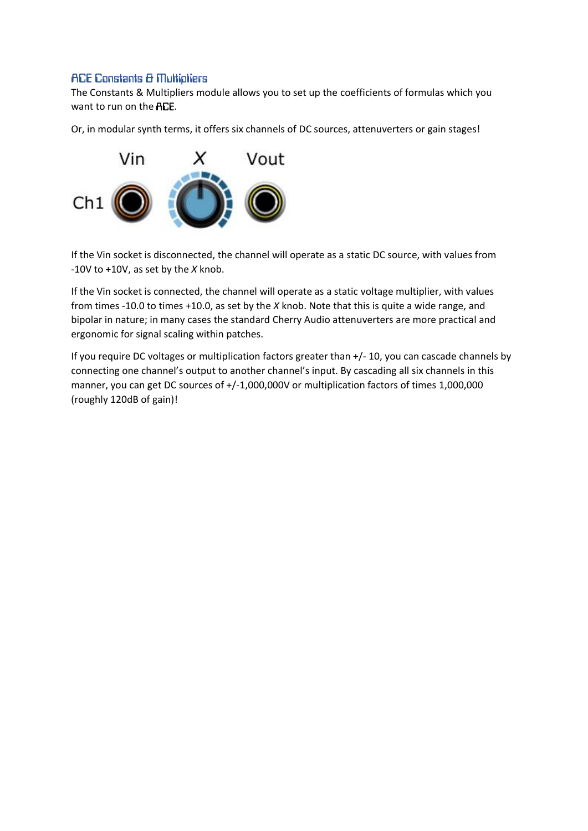## **ACE Constants & Multipliers**

The Constants & Multipliers module allows you to set up the coefficients of formulas which you want to run on the ACE.

Or, in modular synth terms, it offers six channels of DC sources, attenuverters or gain stages!



If the Vin socket is disconnected, the channel will operate as a static DC source, with values from -10V to +10V, as set by the *X* knob.

If the Vin socket is connected, the channel will operate as a static voltage multiplier, with values from times -10.0 to times +10.0, as set by the *X* knob. Note that this is quite a wide range, and bipolar in nature; in many cases the standard Cherry Audio attenuverters are more practical and ergonomic for signal scaling within patches.

If you require DC voltages or multiplication factors greater than +/- 10, you can cascade channels by connecting one channel's output to another channel's input. By cascading all six channels in this manner, you can get DC sources of +/-1,000,000V or multiplication factors of times 1,000,000 (roughly 120dB of gain)!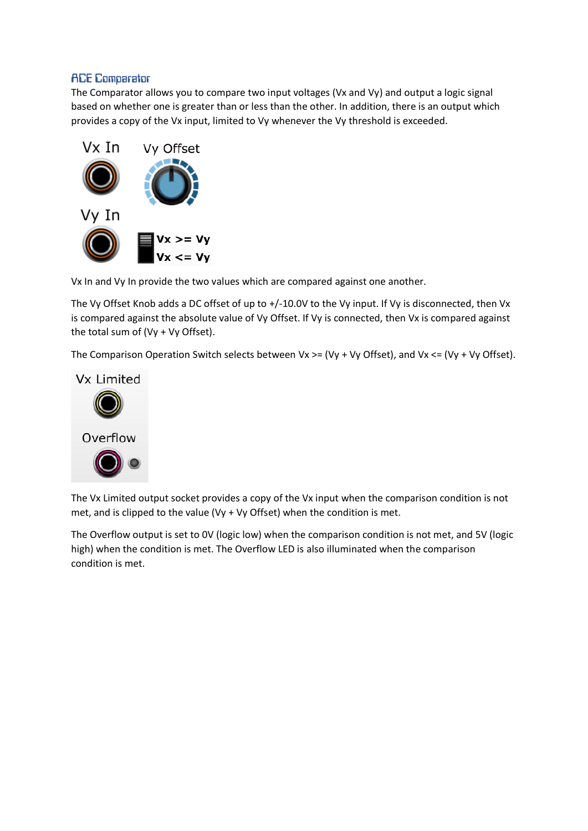## **ACE Comparator**

The Comparator allows you to compare two input voltages (Vx and Vy) and output a logic signal based on whether one is greater than or less than the other. In addition, there is an output which provides a copy of the Vx input, limited to Vy whenever the Vy threshold is exceeded.



Vx In and Vy In provide the two values which are compared against one another.

The Vy Offset Knob adds a DC offset of up to +/-10.0V to the Vy input. If Vy is disconnected, then Vx is compared against the absolute value of Vy Offset. If Vy is connected, then Vx is compared against the total sum of (Vy + Vy Offset).

The Comparison Operation Switch selects between  $Vx \geq (Vy + Vy Offset)$ , and  $Vx \leq (Vy + Vy Offset)$ .



The Vx Limited output socket provides a copy of the Vx input when the comparison condition is not met, and is clipped to the value (Vy + Vy Offset) when the condition is met.

The Overflow output is set to 0V (logic low) when the comparison condition is not met, and 5V (logic high) when the condition is met. The Overflow LED is also illuminated when the comparison condition is met.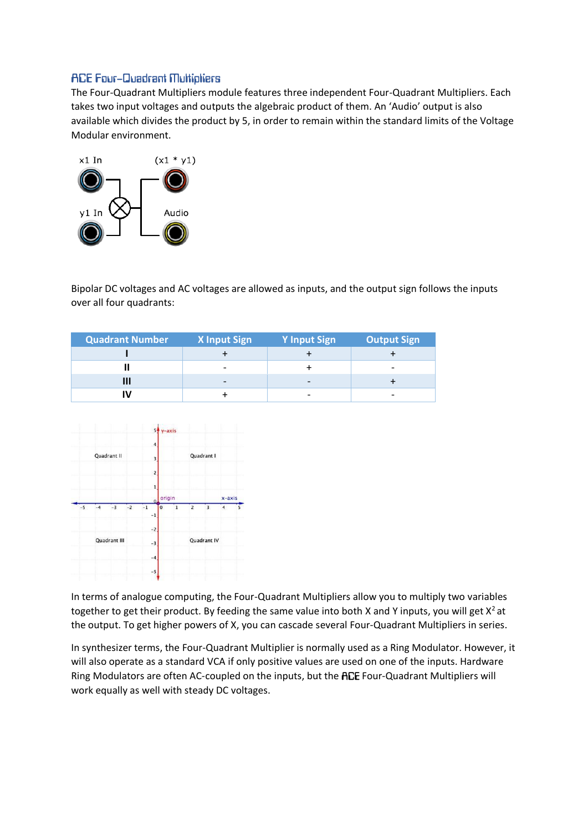### **ACE Four-Quadrant Multipliers**

The Four-Quadrant Multipliers module features three independent Four-Quadrant Multipliers. Each takes two input voltages and outputs the algebraic product of them. An 'Audio' output is also available which divides the product by 5, in order to remain within the standard limits of the Voltage Modular environment.



Bipolar DC voltages and AC voltages are allowed as inputs, and the output sign follows the inputs over all four quadrants:

| <b>Quadrant Number</b> | <b>X</b> Input Sign | <b>Y Input Sign</b> | <b>Output Sign</b>       |
|------------------------|---------------------|---------------------|--------------------------|
|                        |                     |                     |                          |
|                        |                     |                     | $\overline{\phantom{0}}$ |
|                        |                     |                     |                          |
|                        |                     |                     |                          |



In terms of analogue computing, the Four-Quadrant Multipliers allow you to multiply two variables together to get their product. By feeding the same value into both X and Y inputs, you will get  $X^2$  at the output. To get higher powers of X, you can cascade several Four-Quadrant Multipliers in series.

In synthesizer terms, the Four-Quadrant Multiplier is normally used as a Ring Modulator. However, it will also operate as a standard VCA if only positive values are used on one of the inputs. Hardware Ring Modulators are often AC-coupled on the inputs, but the ACE Four-Quadrant Multipliers will work equally as well with steady DC voltages.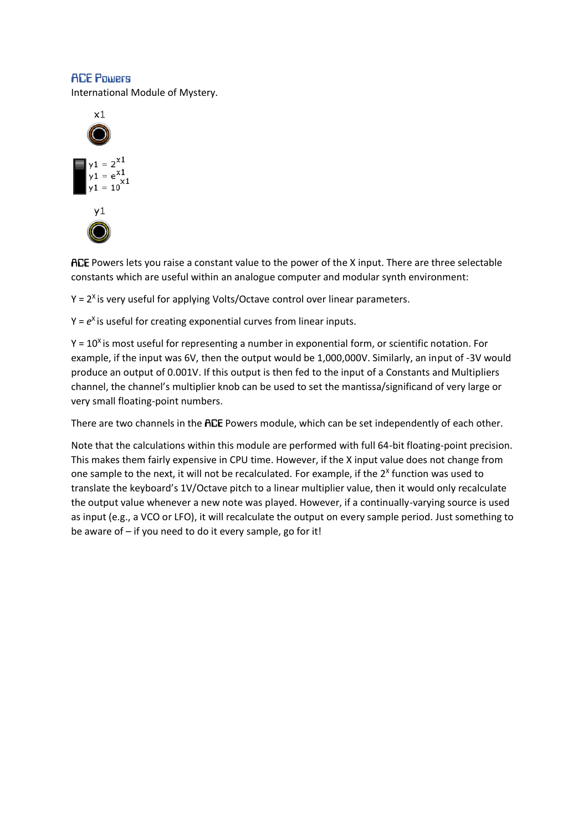#### **ACE Powers**

International Module of Mystery.



ACE Powers lets you raise a constant value to the power of the X input. There are three selectable constants which are useful within an analogue computer and modular synth environment:

 $Y = 2<sup>X</sup>$  is very useful for applying Volts/Octave control over linear parameters.

Y =  $e<sup>x</sup>$  is useful for creating exponential curves from linear inputs.

 $Y = 10<sup>X</sup>$  is most useful for representing a number in exponential form, or scientific notation. For example, if the input was 6V, then the output would be 1,000,000V. Similarly, an input of -3V would produce an output of 0.001V. If this output is then fed to the input of a Constants and Multipliers channel, the channel's multiplier knob can be used to set the mantissa/significand of very large or very small floating-point numbers.

There are two channels in the ACE Powers module, which can be set independently of each other.

Note that the calculations within this module are performed with full 64-bit floating-point precision. This makes them fairly expensive in CPU time. However, if the X input value does not change from one sample to the next, it will not be recalculated. For example, if the  $2^x$  function was used to translate the keyboard's 1V/Octave pitch to a linear multiplier value, then it would only recalculate the output value whenever a new note was played. However, if a continually-varying source is used as input (e.g., a VCO or LFO), it will recalculate the output on every sample period. Just something to be aware of – if you need to do it every sample, go for it!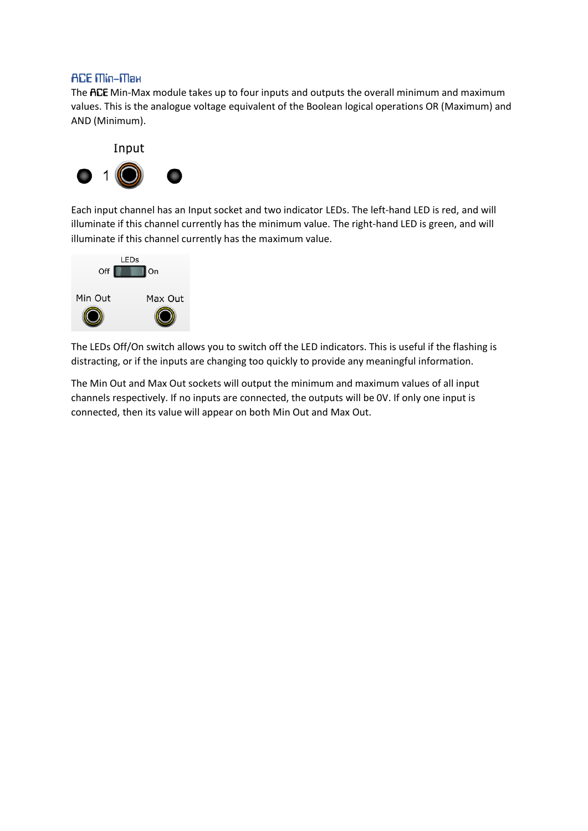## **АСЕ Піп-Піан**

The ACE Min-Max module takes up to four inputs and outputs the overall minimum and maximum values. This is the analogue voltage equivalent of the Boolean logical operations OR (Maximum) and AND (Minimum).



Each input channel has an Input socket and two indicator LEDs. The left-hand LED is red, and will illuminate if this channel currently has the minimum value. The right-hand LED is green, and will illuminate if this channel currently has the maximum value.



The LEDs Off/On switch allows you to switch off the LED indicators. This is useful if the flashing is distracting, or if the inputs are changing too quickly to provide any meaningful information.

The Min Out and Max Out sockets will output the minimum and maximum values of all input channels respectively. If no inputs are connected, the outputs will be 0V. If only one input is connected, then its value will appear on both Min Out and Max Out.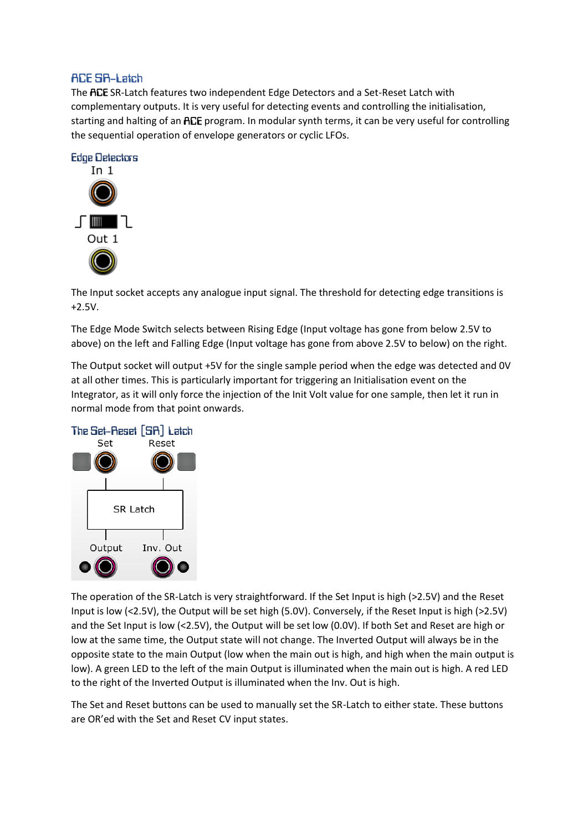## **ACE SR-Latch**

The ACE SR-Latch features two independent Edge Detectors and a Set-Reset Latch with complementary outputs. It is very useful for detecting events and controlling the initialisation, starting and halting of an ACE program. In modular synth terms, it can be very useful for controlling the sequential operation of envelope generators or cyclic LFOs.



The Input socket accepts any analogue input signal. The threshold for detecting edge transitions is +2.5V.

The Edge Mode Switch selects between Rising Edge (Input voltage has gone from below 2.5V to above) on the left and Falling Edge (Input voltage has gone from above 2.5V to below) on the right.

The Output socket will output +5V for the single sample period when the edge was detected and 0V at all other times. This is particularly important for triggering an Initialisation event on the Integrator, as it will only force the injection of the Init Volt value for one sample, then let it run in normal mode from that point onwards.



The operation of the SR-Latch is very straightforward. If the Set Input is high (>2.5V) and the Reset Input is low (<2.5V), the Output will be set high (5.0V). Conversely, if the Reset Input is high (>2.5V) and the Set Input is low (<2.5V), the Output will be set low (0.0V). If both Set and Reset are high or low at the same time, the Output state will not change. The Inverted Output will always be in the opposite state to the main Output (low when the main out is high, and high when the main output is low). A green LED to the left of the main Output is illuminated when the main out is high. A red LED to the right of the Inverted Output is illuminated when the Inv. Out is high.

The Set and Reset buttons can be used to manually set the SR-Latch to either state. These buttons are OR'ed with the Set and Reset CV input states.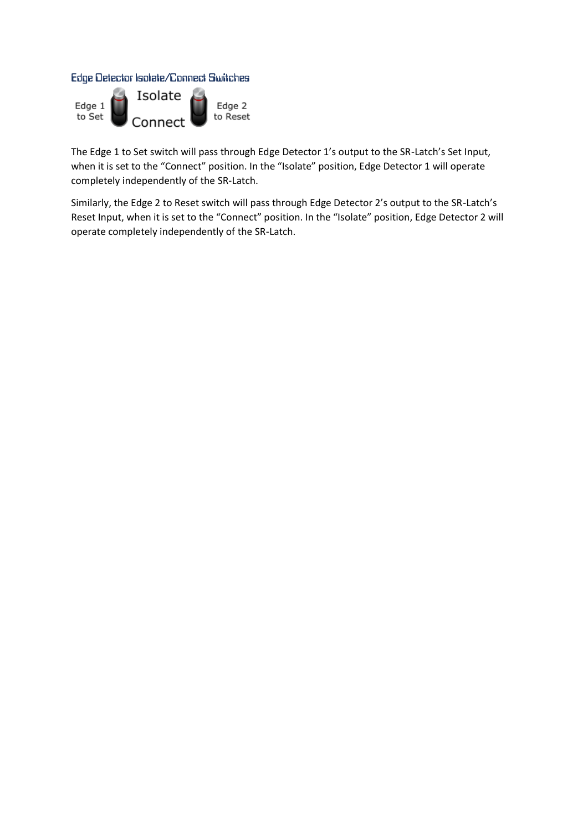Edge Detector Isolate/Connect Switches



The Edge 1 to Set switch will pass through Edge Detector 1's output to the SR-Latch's Set Input, when it is set to the "Connect" position. In the "Isolate" position, Edge Detector 1 will operate completely independently of the SR-Latch.

Similarly, the Edge 2 to Reset switch will pass through Edge Detector 2's output to the SR-Latch's Reset Input, when it is set to the "Connect" position. In the "Isolate" position, Edge Detector 2 will operate completely independently of the SR-Latch.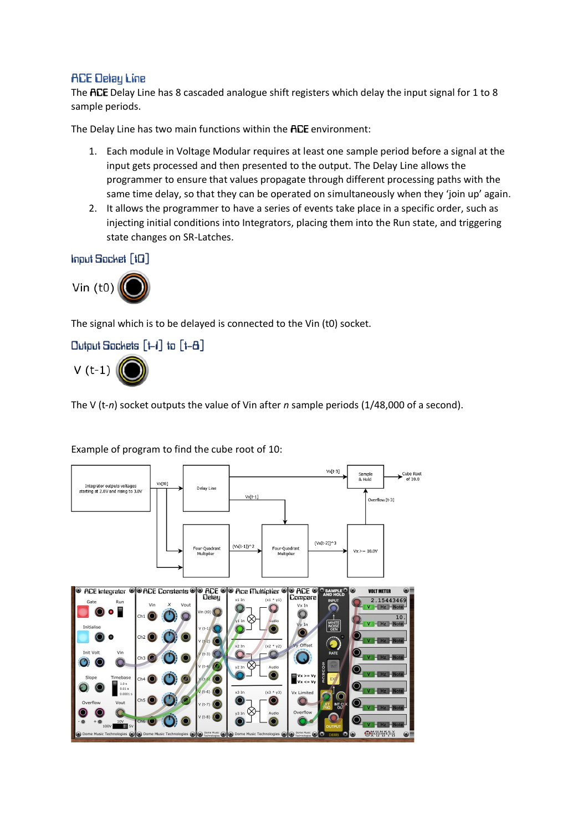## **ACE Delay Line**

The ACE Delay Line has 8 cascaded analogue shift registers which delay the input signal for 1 to 8 sample periods.

The Delay Line has two main functions within the ACE environment:

- 1. Each module in Voltage Modular requires at least one sample period before a signal at the input gets processed and then presented to the output. The Delay Line allows the programmer to ensure that values propagate through different processing paths with the same time delay, so that they can be operated on simultaneously when they 'join up' again.
- 2. It allows the programmer to have a series of events take place in a specific order, such as injecting initial conditions into Integrators, placing them into the Run state, and triggering state changes on SR-Latches.

Input Socket [t0]



The signal which is to be delayed is connected to the Vin (t0) socket.

## Output Sockets [t-i] to [t-8]



The V (t-*n*) socket outputs the value of Vin after *n* sample periods (1/48,000 of a second).

#### Example of program to find the cube root of 10:

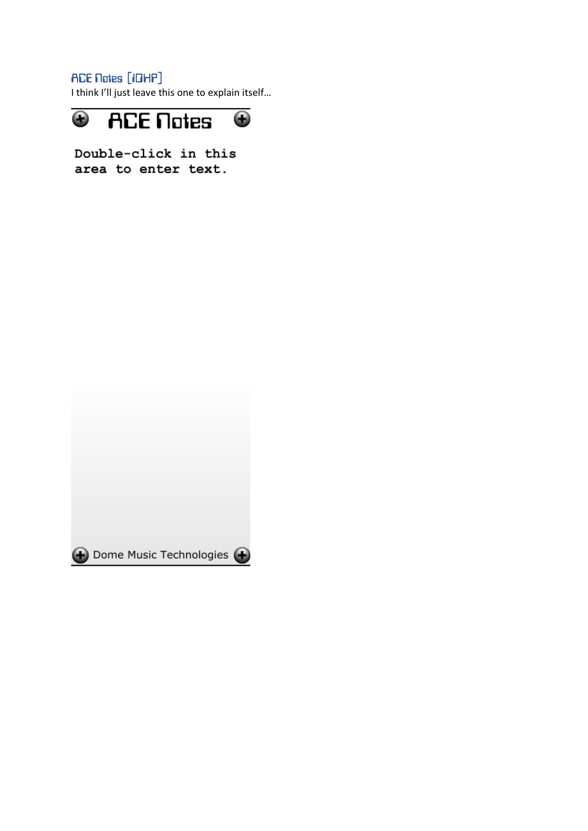**ACE Notes [IDHP]** 

I think I'll just leave this one to explain itself…



Double-click in this area to enter text.

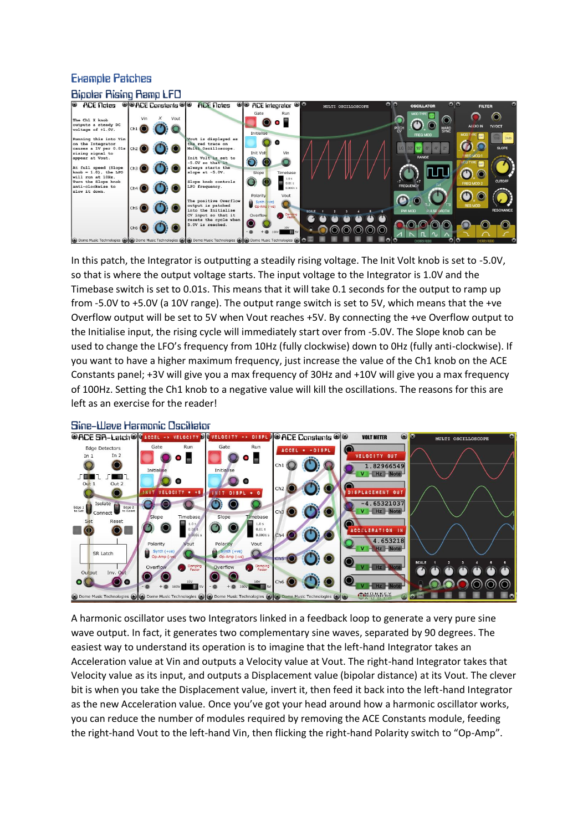# **Example Patches**



In this patch, the Integrator is outputting a steadily rising voltage. The Init Volt knob is set to -5.0V, so that is where the output voltage starts. The input voltage to the Integrator is 1.0V and the Timebase switch is set to 0.01s. This means that it will take 0.1 seconds for the output to ramp up from -5.0V to +5.0V (a 10V range). The output range switch is set to 5V, which means that the +ve Overflow output will be set to 5V when Vout reaches +5V. By connecting the +ve Overflow output to the Initialise input, the rising cycle will immediately start over from -5.0V. The Slope knob can be used to change the LFO's frequency from 10Hz (fully clockwise) down to 0Hz (fully anti-clockwise). If you want to have a higher maximum frequency, just increase the value of the Ch1 knob on the ACE Constants panel; +3V will give you a max frequency of 30Hz and +10V will give you a max frequency of 100Hz. Setting the Ch1 knob to a negative value will kill the oscillations. The reasons for this are left as an exercise for the reader!



#### Sine-Wave Harmonic Oscillator

A harmonic oscillator uses two Integrators linked in a feedback loop to generate a very pure sine wave output. In fact, it generates two complementary sine waves, separated by 90 degrees. The easiest way to understand its operation is to imagine that the left-hand Integrator takes an Acceleration value at Vin and outputs a Velocity value at Vout. The right-hand Integrator takes that Velocity value as its input, and outputs a Displacement value (bipolar distance) at its Vout. The clever bit is when you take the Displacement value, invert it, then feed it back into the left-hand Integrator as the new Acceleration value. Once you've got your head around how a harmonic oscillator works, you can reduce the number of modules required by removing the ACE Constants module, feeding the right-hand Vout to the left-hand Vin, then flicking the right-hand Polarity switch to "Op-Amp".